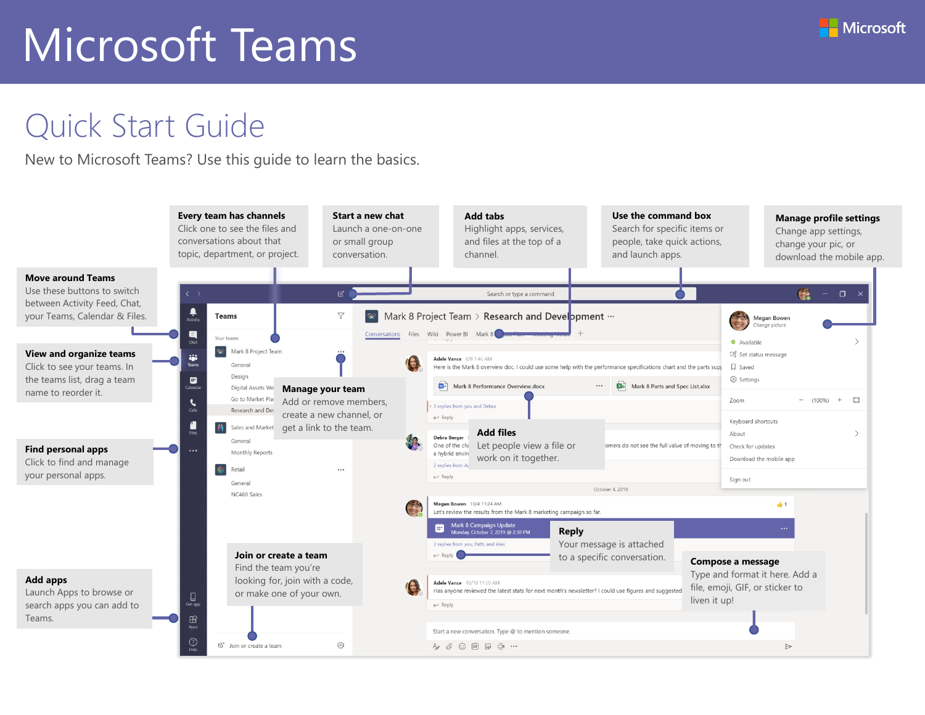#### Quick Start Guide

New to Microsoft Teams? Use this guide to learn the basics.

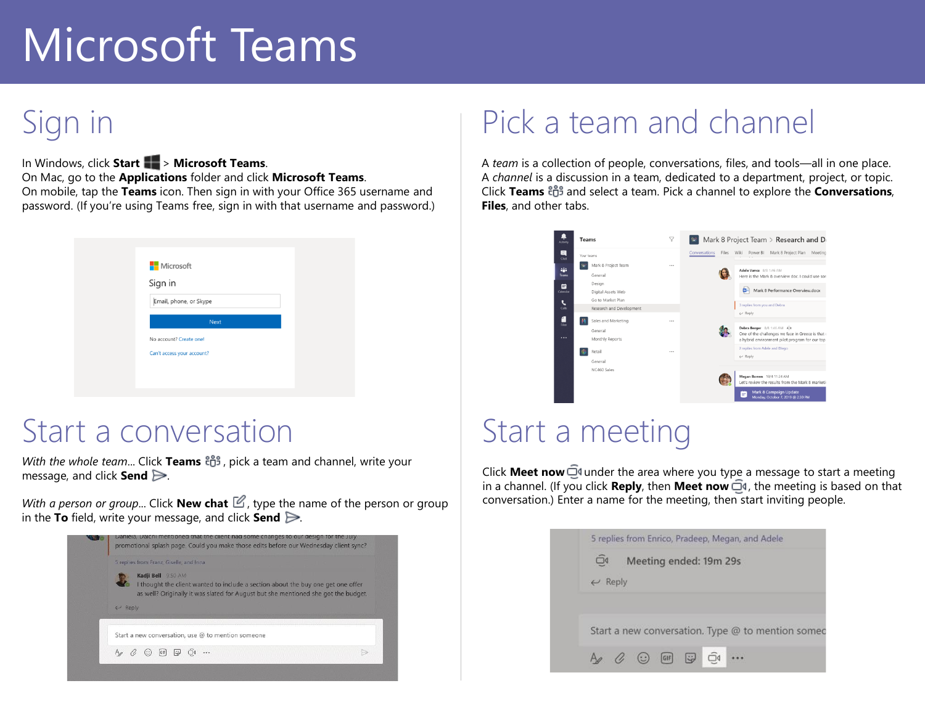## Sign in

In Windows, click **Start** > **Microsoft Teams**. On Mac, go to the **Applications** folder and click **Microsoft Teams**. On mobile, tap the **Teams** icon. Then sign in with your Office 365 username and password. (If you're using Teams free, sign in with that username and password.)

| <b>Nicrosoft</b>           |  |
|----------------------------|--|
| Sign in                    |  |
| Email, phone, or Skype     |  |
| <b>Next</b>                |  |
|                            |  |
| No account? Create one!    |  |
| Can't access your account? |  |
|                            |  |

#### Start a conversation

*With the whole team...* Click Teams  $\frac{18}{100}$ , pick a team and channel, write your message, and click **Send** .

*With a person or group...* Click **New chat**  $\mathbb{Z}$ , type the name of the person or group in the **To** field, write your message, and click **Send** .

|                    | 5 replies from Franz, Giselle, and Inna |                    |                                                                                                                                                                        |  |  |  |
|--------------------|-----------------------------------------|--------------------|------------------------------------------------------------------------------------------------------------------------------------------------------------------------|--|--|--|
| $\leftarrow$ Reply |                                         | Kadji Bell 9:50 AM | I thought the client wanted to include a section about the buy one get one offer<br>as well? Originally it was slated for August but she mentioned she got the budget. |  |  |  |
|                    |                                         |                    | Start a new conversation, use @ to mention someone                                                                                                                     |  |  |  |
|                    |                                         |                    |                                                                                                                                                                        |  |  |  |

#### Pick a team and channel

A *team* is a collection of people, conversations, files, and tools—all in one place. A *channel* is a discussion in a team, dedicated to a department, project, or topic. **Click Teams**  $\frac{165}{12}$  and select a team. Pick a channel to explore the **Conversations**, **Files**, and other tabs.



#### Start a meeting

Click **Meet now**  $\overline{\mathbb{Q}}$ <sup>d</sup> under the area where you type a message to start a meeting in a channel. (If you click **Reply**, then **Meet now**  $\overline{\Box}$ <sup>*i*</sup>, the meeting is based on that conversation.) Enter a name for the meeting, then start inviting people.

| 5 replies from Enrico, Pradeep, Megan, and Adele                                                 |
|--------------------------------------------------------------------------------------------------|
| $\Box$<br>Meeting ended: 19m 29s                                                                 |
| $\leftrightarrow$ Reply                                                                          |
|                                                                                                  |
|                                                                                                  |
| Start a new conversation. Type @ to mention somed                                                |
|                                                                                                  |
| $\Box$<br>$A_2$ $\left(\begin{matrix} \cdot \\ \cdot \end{matrix}\right)$ GIF<br>$\ddot{\omega}$ |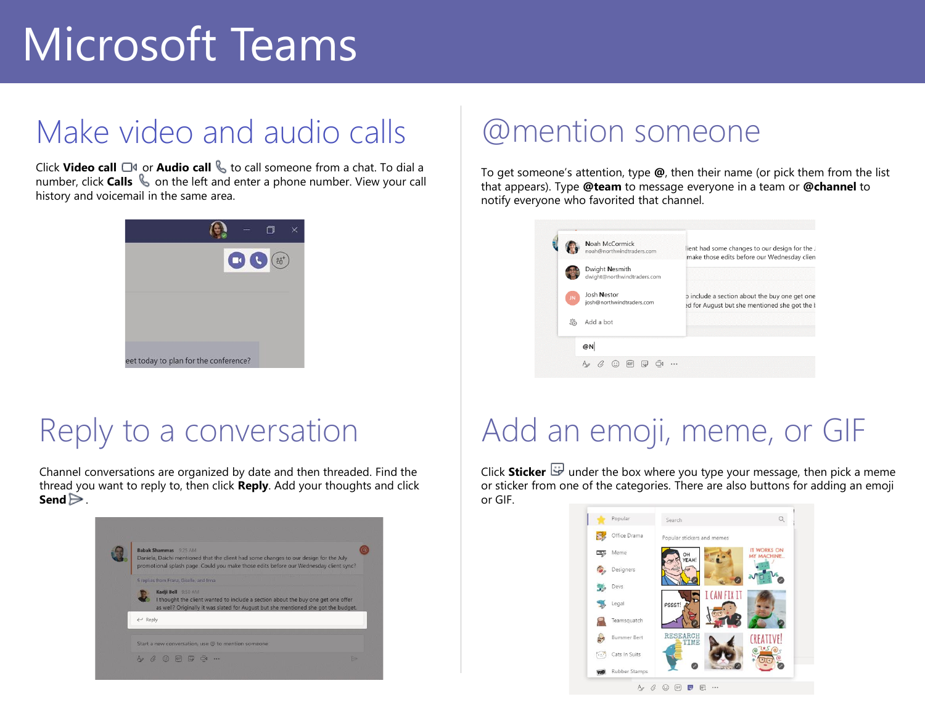## Make video and audio calls

Click **Video call** □<sup>*s*</sup> or **Audio call** ↓ to call someone from a chat. To dial a number, click **Calls**  $\&$  on the left and enter a phone number. View your call history and voicemail in the same area.



#### Reply to a conversation

Channel conversations are organized by date and then threaded. Find the thread you want to reply to, then click **Reply**. Add your thoughts and click **Send**  $\geq$ .



#### @mention someone

To get someone's attention, type **@**, then their name (or pick them from the list that appears). Type **@team** to message everyone in a team or **@channel** to notify everyone who favorited that channel.



## Add an emoji, meme, or GIF

Click **Sticker b**under the box where you type your message, then pick a meme or sticker from one of the categories. There are also buttons for adding an emoji or GIF.

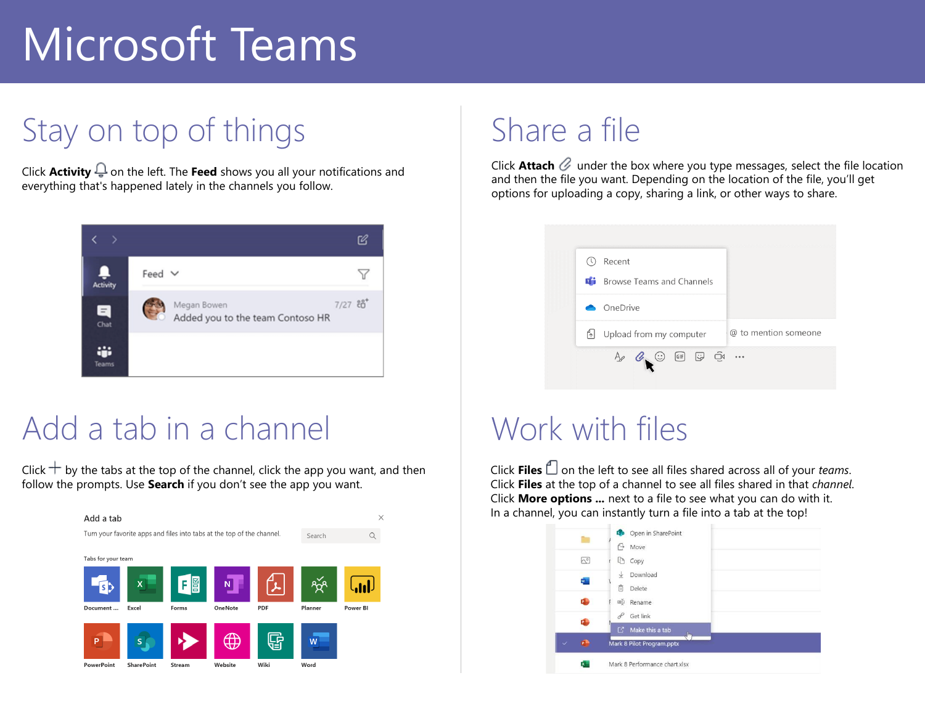## Stay on top of things

Click **Activity**  $\frac{\mathbb{Q}}{2}$  on the left. The **Feed** shows you all your notifications and everything that's happened lately in the channels you follow.



#### Add a tab in a channel

 follow the prompts. Use **Search** if you don't see the app you want. Click  $+$  by the tabs at the top of the channel, click the app you want, and then



### Share a file

 and then the file you want. Depending on the location of the file, you'll get Click **Attach**  $\mathcal{C}$  under the box where you type messages, select the file location options for uploading a copy, sharing a link, or other ways to share.



#### Work with files

Click **Files**  $\Box$  on the left to see all files shared across all of your *teams*. Click **Files** at the top of a channel to see all files shared in that *channel*. Click **More options ...** next to a file to see what you can do with it. In a channel, you can instantly turn a file into a tab at the top!